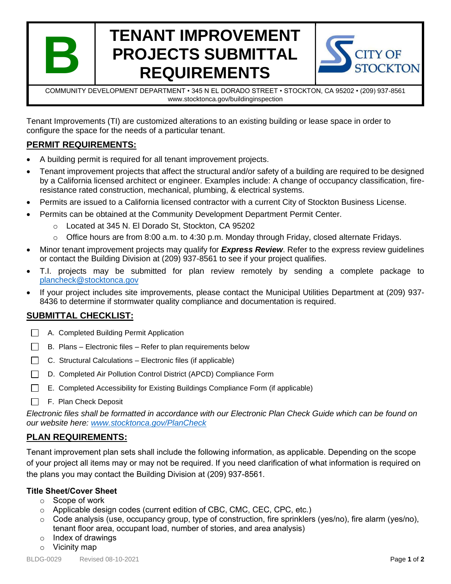

# **TENANT IMPROVEMENT PROJECTS SUBMITTAL REQUIREMENTS**



COMMUNITY DEVELOPMENT DEPARTMENT • 345 N EL DORADO STREET • STOCKTON, CA 95202 • (209) 937-8561 www.stocktonca.gov/buildinginspection

Tenant Improvements (TI) are customized alterations to an existing building or lease space in order to configure the space for the needs of a particular tenant.

# **PERMIT REQUIREMENTS:**

- A building permit is required for all tenant improvement projects.
- Tenant improvement projects that affect the structural and/or safety of a building are required to be designed by a California licensed architect or engineer. Examples include: A change of occupancy classification, fireresistance rated construction, mechanical, plumbing, & electrical systems.
- Permits are issued to a California licensed contractor with a current City of Stockton Business License.
- Permits can be obtained at the Community Development Department Permit Center.
	- o Located at 345 N. El Dorado St, Stockton, CA 95202
	- $\circ$  Office hours are from 8:00 a.m. to 4:30 p.m. Monday through Friday, closed alternate Fridays.
- Minor tenant improvement projects may qualify for *Express Review*. Refer to the express review guidelines or contact the Building Division at (209) 937-8561 to see if your project qualifies.
- T.I. projects may be submitted for plan review remotely by sending a complete package to [plancheck@stocktonca.gov](mailto:plancheck@stocktonca.gov)
- If your project includes site improvements, please contact the Municipal Utilities Department at (209) 937- 8436 to determine if stormwater quality compliance and documentation is required.

# **SUBMITTAL CHECKLIST:**

- A. Completed Building Permit Application
- $\Box$  B. Plans Electronic files Refer to plan requirements below
- $\Box$  C. Structural Calculations Electronic files (if applicable)
- D. Completed Air Pollution Control District (APCD) Compliance Form
- E. Completed Accessibility for Existing Buildings Compliance Form (if applicable)
- F. Plan Check Deposit

*Electronic files shall be formatted in accordance with our Electronic Plan Check Guide which can be found on our website here: [www.stocktonca.gov/PlanCheck](http://www.stocktonca.gov/government/departments/permitCenter/buildProcPlan.html)*

# **PLAN REQUIREMENTS:**

Tenant improvement plan sets shall include the following information, as applicable. Depending on the scope of your project all items may or may not be required. If you need clarification of what information is required on the plans you may contact the Building Division at (209) 937-8561.

## **Title Sheet/Cover Sheet**

- o Scope of work
- $\circ$  Applicable design codes (current edition of CBC, CMC, CEC, CPC, etc.)
- o Code analysis (use, occupancy group, type of construction, fire sprinklers (yes/no), fire alarm (yes/no), tenant floor area, occupant load, number of stories, and area analysis)
- $\circ$  Index of drawings
- o Vicinity map